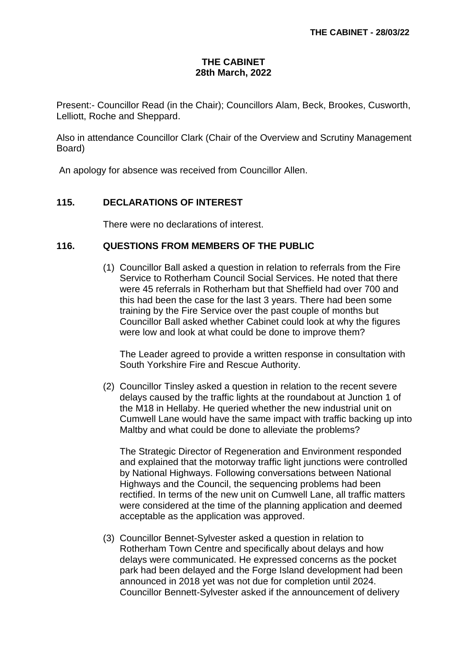## **THE CABINET 28th March, 2022**

Present:- Councillor Read (in the Chair); Councillors Alam, Beck, Brookes, Cusworth, Lelliott, Roche and Sheppard.

Also in attendance Councillor Clark (Chair of the Overview and Scrutiny Management Board)

An apology for absence was received from Councillor Allen.

## **115. DECLARATIONS OF INTEREST**

There were no declarations of interest.

## **116. QUESTIONS FROM MEMBERS OF THE PUBLIC**

(1) Councillor Ball asked a question in relation to referrals from the Fire Service to Rotherham Council Social Services. He noted that there were 45 referrals in Rotherham but that Sheffield had over 700 and this had been the case for the last 3 years. There had been some training by the Fire Service over the past couple of months but Councillor Ball asked whether Cabinet could look at why the figures were low and look at what could be done to improve them?

The Leader agreed to provide a written response in consultation with South Yorkshire Fire and Rescue Authority.

(2) Councillor Tinsley asked a question in relation to the recent severe delays caused by the traffic lights at the roundabout at Junction 1 of the M18 in Hellaby. He queried whether the new industrial unit on Cumwell Lane would have the same impact with traffic backing up into Maltby and what could be done to alleviate the problems?

The Strategic Director of Regeneration and Environment responded and explained that the motorway traffic light junctions were controlled by National Highways. Following conversations between National Highways and the Council, the sequencing problems had been rectified. In terms of the new unit on Cumwell Lane, all traffic matters were considered at the time of the planning application and deemed acceptable as the application was approved.

(3) Councillor Bennet-Sylvester asked a question in relation to Rotherham Town Centre and specifically about delays and how delays were communicated. He expressed concerns as the pocket park had been delayed and the Forge Island development had been announced in 2018 yet was not due for completion until 2024. Councillor Bennett-Sylvester asked if the announcement of delivery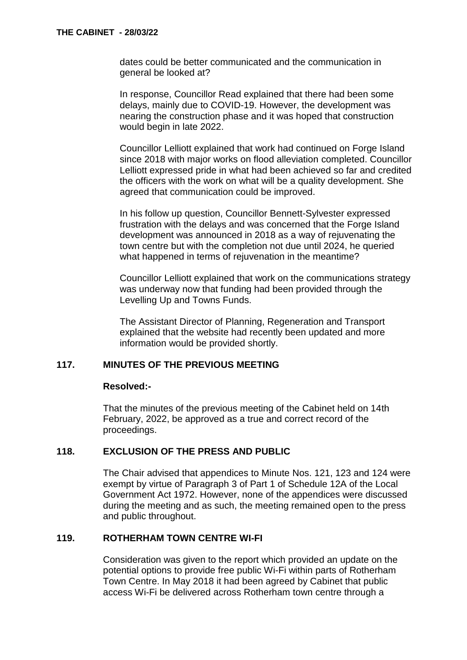dates could be better communicated and the communication in general be looked at?

In response, Councillor Read explained that there had been some delays, mainly due to COVID-19. However, the development was nearing the construction phase and it was hoped that construction would begin in late 2022.

Councillor Lelliott explained that work had continued on Forge Island since 2018 with major works on flood alleviation completed. Councillor Lelliott expressed pride in what had been achieved so far and credited the officers with the work on what will be a quality development. She agreed that communication could be improved.

In his follow up question, Councillor Bennett-Sylvester expressed frustration with the delays and was concerned that the Forge Island development was announced in 2018 as a way of rejuvenating the town centre but with the completion not due until 2024, he queried what happened in terms of rejuvenation in the meantime?

Councillor Lelliott explained that work on the communications strategy was underway now that funding had been provided through the Levelling Up and Towns Funds.

The Assistant Director of Planning, Regeneration and Transport explained that the website had recently been updated and more information would be provided shortly.

# **117. MINUTES OF THE PREVIOUS MEETING**

#### **Resolved:-**

That the minutes of the previous meeting of the Cabinet held on 14th February, 2022, be approved as a true and correct record of the proceedings.

## **118. EXCLUSION OF THE PRESS AND PUBLIC**

The Chair advised that appendices to Minute Nos. 121, 123 and 124 were exempt by virtue of Paragraph 3 of Part 1 of Schedule 12A of the Local Government Act 1972. However, none of the appendices were discussed during the meeting and as such, the meeting remained open to the press and public throughout.

### **119. ROTHERHAM TOWN CENTRE WI-FI**

Consideration was given to the report which provided an update on the potential options to provide free public Wi-Fi within parts of Rotherham Town Centre. In May 2018 it had been agreed by Cabinet that public access Wi-Fi be delivered across Rotherham town centre through a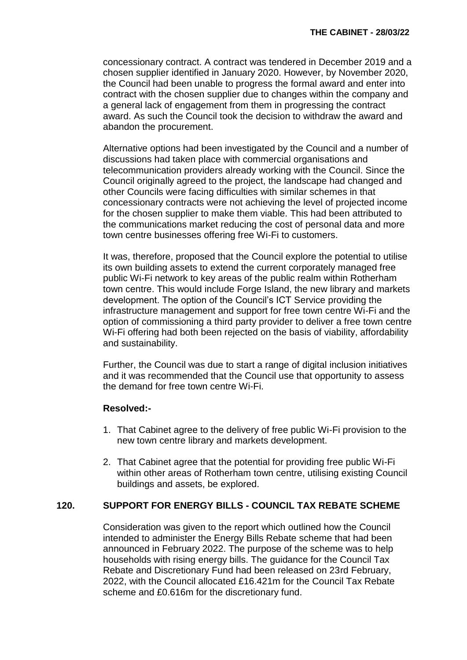concessionary contract. A contract was tendered in December 2019 and a chosen supplier identified in January 2020. However, by November 2020, the Council had been unable to progress the formal award and enter into contract with the chosen supplier due to changes within the company and a general lack of engagement from them in progressing the contract award. As such the Council took the decision to withdraw the award and abandon the procurement.

Alternative options had been investigated by the Council and a number of discussions had taken place with commercial organisations and telecommunication providers already working with the Council. Since the Council originally agreed to the project, the landscape had changed and other Councils were facing difficulties with similar schemes in that concessionary contracts were not achieving the level of projected income for the chosen supplier to make them viable. This had been attributed to the communications market reducing the cost of personal data and more town centre businesses offering free Wi-Fi to customers.

It was, therefore, proposed that the Council explore the potential to utilise its own building assets to extend the current corporately managed free public Wi-Fi network to key areas of the public realm within Rotherham town centre. This would include Forge Island, the new library and markets development. The option of the Council's ICT Service providing the infrastructure management and support for free town centre Wi-Fi and the option of commissioning a third party provider to deliver a free town centre Wi-Fi offering had both been rejected on the basis of viability, affordability and sustainability.

Further, the Council was due to start a range of digital inclusion initiatives and it was recommended that the Council use that opportunity to assess the demand for free town centre Wi-Fi.

## **Resolved:-**

- 1. That Cabinet agree to the delivery of free public Wi-Fi provision to the new town centre library and markets development.
- 2. That Cabinet agree that the potential for providing free public Wi-Fi within other areas of Rotherham town centre, utilising existing Council buildings and assets, be explored.

## **120. SUPPORT FOR ENERGY BILLS - COUNCIL TAX REBATE SCHEME**

Consideration was given to the report which outlined how the Council intended to administer the Energy Bills Rebate scheme that had been announced in February 2022. The purpose of the scheme was to help households with rising energy bills. The guidance for the Council Tax Rebate and Discretionary Fund had been released on 23rd February, 2022, with the Council allocated £16.421m for the Council Tax Rebate scheme and £0.616m for the discretionary fund.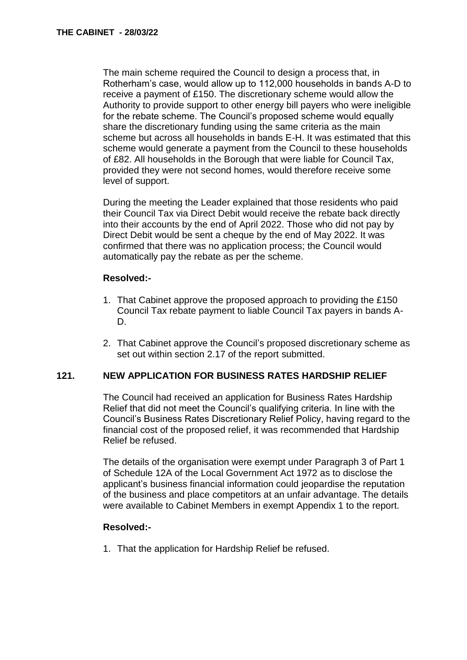The main scheme required the Council to design a process that, in Rotherham's case, would allow up to 112,000 households in bands A-D to receive a payment of £150. The discretionary scheme would allow the Authority to provide support to other energy bill payers who were ineligible for the rebate scheme. The Council's proposed scheme would equally share the discretionary funding using the same criteria as the main scheme but across all households in bands E-H. It was estimated that this scheme would generate a payment from the Council to these households of £82. All households in the Borough that were liable for Council Tax, provided they were not second homes, would therefore receive some level of support.

During the meeting the Leader explained that those residents who paid their Council Tax via Direct Debit would receive the rebate back directly into their accounts by the end of April 2022. Those who did not pay by Direct Debit would be sent a cheque by the end of May 2022. It was confirmed that there was no application process; the Council would automatically pay the rebate as per the scheme.

#### **Resolved:-**

- 1. That Cabinet approve the proposed approach to providing the £150 Council Tax rebate payment to liable Council Tax payers in bands A-D.
- 2. That Cabinet approve the Council's proposed discretionary scheme as set out within section 2.17 of the report submitted.

## **121. NEW APPLICATION FOR BUSINESS RATES HARDSHIP RELIEF**

The Council had received an application for Business Rates Hardship Relief that did not meet the Council's qualifying criteria. In line with the Council's Business Rates Discretionary Relief Policy, having regard to the financial cost of the proposed relief, it was recommended that Hardship Relief be refused.

The details of the organisation were exempt under Paragraph 3 of Part 1 of Schedule 12A of the Local Government Act 1972 as to disclose the applicant's business financial information could jeopardise the reputation of the business and place competitors at an unfair advantage. The details were available to Cabinet Members in exempt Appendix 1 to the report.

#### **Resolved:-**

1. That the application for Hardship Relief be refused.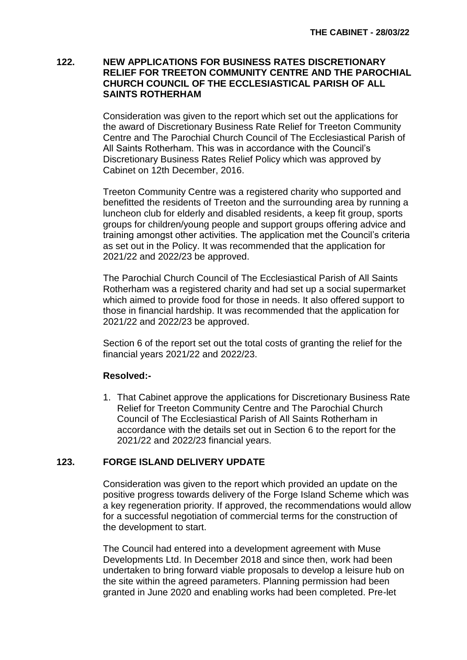#### **122. NEW APPLICATIONS FOR BUSINESS RATES DISCRETIONARY RELIEF FOR TREETON COMMUNITY CENTRE AND THE PAROCHIAL CHURCH COUNCIL OF THE ECCLESIASTICAL PARISH OF ALL SAINTS ROTHERHAM**

Consideration was given to the report which set out the applications for the award of Discretionary Business Rate Relief for Treeton Community Centre and The Parochial Church Council of The Ecclesiastical Parish of All Saints Rotherham. This was in accordance with the Council's Discretionary Business Rates Relief Policy which was approved by Cabinet on 12th December, 2016.

Treeton Community Centre was a registered charity who supported and benefitted the residents of Treeton and the surrounding area by running a luncheon club for elderly and disabled residents, a keep fit group, sports groups for children/young people and support groups offering advice and training amongst other activities. The application met the Council's criteria as set out in the Policy. It was recommended that the application for 2021/22 and 2022/23 be approved.

The Parochial Church Council of The Ecclesiastical Parish of All Saints Rotherham was a registered charity and had set up a social supermarket which aimed to provide food for those in needs. It also offered support to those in financial hardship. It was recommended that the application for 2021/22 and 2022/23 be approved.

Section 6 of the report set out the total costs of granting the relief for the financial years 2021/22 and 2022/23.

## **Resolved:-**

1. That Cabinet approve the applications for Discretionary Business Rate Relief for Treeton Community Centre and The Parochial Church Council of The Ecclesiastical Parish of All Saints Rotherham in accordance with the details set out in Section 6 to the report for the 2021/22 and 2022/23 financial years.

# **123. FORGE ISLAND DELIVERY UPDATE**

Consideration was given to the report which provided an update on the positive progress towards delivery of the Forge Island Scheme which was a key regeneration priority. If approved, the recommendations would allow for a successful negotiation of commercial terms for the construction of the development to start.

The Council had entered into a development agreement with Muse Developments Ltd. In December 2018 and since then, work had been undertaken to bring forward viable proposals to develop a leisure hub on the site within the agreed parameters. Planning permission had been granted in June 2020 and enabling works had been completed. Pre-let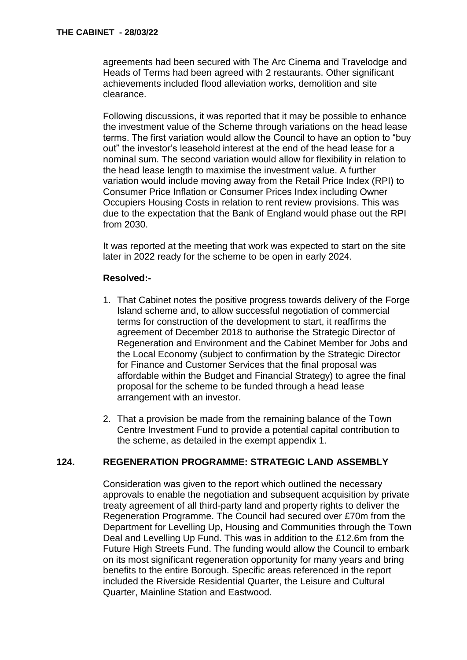agreements had been secured with The Arc Cinema and Travelodge and Heads of Terms had been agreed with 2 restaurants. Other significant achievements included flood alleviation works, demolition and site clearance.

Following discussions, it was reported that it may be possible to enhance the investment value of the Scheme through variations on the head lease terms. The first variation would allow the Council to have an option to "buy out" the investor's leasehold interest at the end of the head lease for a nominal sum. The second variation would allow for flexibility in relation to the head lease length to maximise the investment value. A further variation would include moving away from the Retail Price Index (RPI) to Consumer Price Inflation or Consumer Prices Index including Owner Occupiers Housing Costs in relation to rent review provisions. This was due to the expectation that the Bank of England would phase out the RPI from 2030.

It was reported at the meeting that work was expected to start on the site later in 2022 ready for the scheme to be open in early 2024.

#### **Resolved:-**

- 1. That Cabinet notes the positive progress towards delivery of the Forge Island scheme and, to allow successful negotiation of commercial terms for construction of the development to start, it reaffirms the agreement of December 2018 to authorise the Strategic Director of Regeneration and Environment and the Cabinet Member for Jobs and the Local Economy (subject to confirmation by the Strategic Director for Finance and Customer Services that the final proposal was affordable within the Budget and Financial Strategy) to agree the final proposal for the scheme to be funded through a head lease arrangement with an investor.
- 2. That a provision be made from the remaining balance of the Town Centre Investment Fund to provide a potential capital contribution to the scheme, as detailed in the exempt appendix 1.

## **124. REGENERATION PROGRAMME: STRATEGIC LAND ASSEMBLY**

Consideration was given to the report which outlined the necessary approvals to enable the negotiation and subsequent acquisition by private treaty agreement of all third-party land and property rights to deliver the Regeneration Programme. The Council had secured over £70m from the Department for Levelling Up, Housing and Communities through the Town Deal and Levelling Up Fund. This was in addition to the £12.6m from the Future High Streets Fund. The funding would allow the Council to embark on its most significant regeneration opportunity for many years and bring benefits to the entire Borough. Specific areas referenced in the report included the Riverside Residential Quarter, the Leisure and Cultural Quarter, Mainline Station and Eastwood.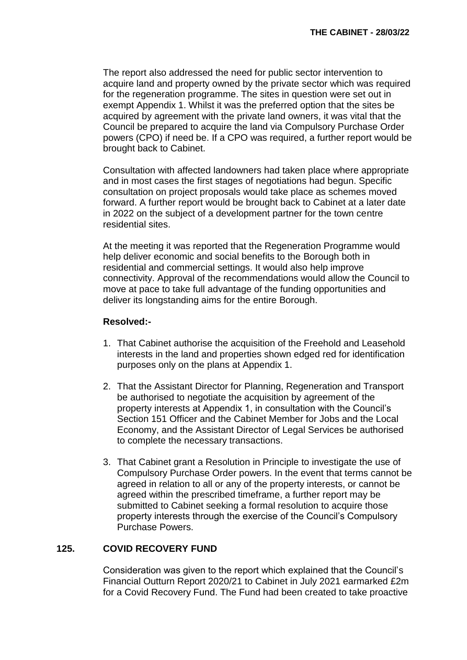The report also addressed the need for public sector intervention to acquire land and property owned by the private sector which was required for the regeneration programme. The sites in question were set out in exempt Appendix 1. Whilst it was the preferred option that the sites be acquired by agreement with the private land owners, it was vital that the Council be prepared to acquire the land via Compulsory Purchase Order powers (CPO) if need be. If a CPO was required, a further report would be brought back to Cabinet.

Consultation with affected landowners had taken place where appropriate and in most cases the first stages of negotiations had begun. Specific consultation on project proposals would take place as schemes moved forward. A further report would be brought back to Cabinet at a later date in 2022 on the subject of a development partner for the town centre residential sites.

At the meeting it was reported that the Regeneration Programme would help deliver economic and social benefits to the Borough both in residential and commercial settings. It would also help improve connectivity. Approval of the recommendations would allow the Council to move at pace to take full advantage of the funding opportunities and deliver its longstanding aims for the entire Borough.

## **Resolved:-**

- 1. That Cabinet authorise the acquisition of the Freehold and Leasehold interests in the land and properties shown edged red for identification purposes only on the plans at Appendix 1.
- 2. That the Assistant Director for Planning, Regeneration and Transport be authorised to negotiate the acquisition by agreement of the property interests at Appendix 1, in consultation with the Council's Section 151 Officer and the Cabinet Member for Jobs and the Local Economy, and the Assistant Director of Legal Services be authorised to complete the necessary transactions.
- 3. That Cabinet grant a Resolution in Principle to investigate the use of Compulsory Purchase Order powers. In the event that terms cannot be agreed in relation to all or any of the property interests, or cannot be agreed within the prescribed timeframe, a further report may be submitted to Cabinet seeking a formal resolution to acquire those property interests through the exercise of the Council's Compulsory Purchase Powers.

## **125. COVID RECOVERY FUND**

Consideration was given to the report which explained that the Council's Financial Outturn Report 2020/21 to Cabinet in July 2021 earmarked £2m for a Covid Recovery Fund. The Fund had been created to take proactive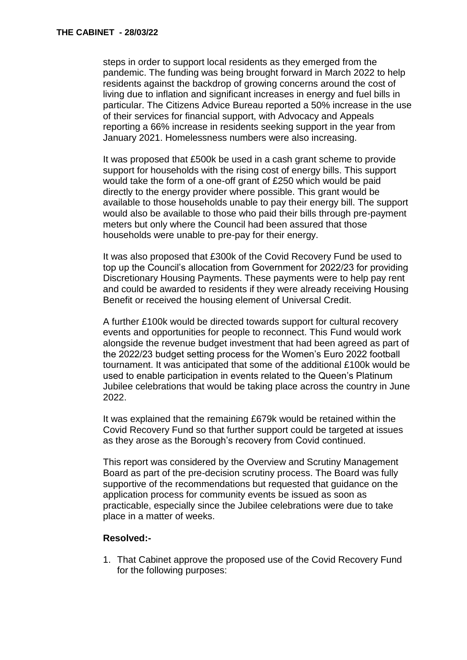steps in order to support local residents as they emerged from the pandemic. The funding was being brought forward in March 2022 to help residents against the backdrop of growing concerns around the cost of living due to inflation and significant increases in energy and fuel bills in particular. The Citizens Advice Bureau reported a 50% increase in the use of their services for financial support, with Advocacy and Appeals reporting a 66% increase in residents seeking support in the year from January 2021. Homelessness numbers were also increasing.

It was proposed that £500k be used in a cash grant scheme to provide support for households with the rising cost of energy bills. This support would take the form of a one-off grant of £250 which would be paid directly to the energy provider where possible. This grant would be available to those households unable to pay their energy bill. The support would also be available to those who paid their bills through pre-payment meters but only where the Council had been assured that those households were unable to pre-pay for their energy.

It was also proposed that £300k of the Covid Recovery Fund be used to top up the Council's allocation from Government for 2022/23 for providing Discretionary Housing Payments. These payments were to help pay rent and could be awarded to residents if they were already receiving Housing Benefit or received the housing element of Universal Credit.

A further £100k would be directed towards support for cultural recovery events and opportunities for people to reconnect. This Fund would work alongside the revenue budget investment that had been agreed as part of the 2022/23 budget setting process for the Women's Euro 2022 football tournament. It was anticipated that some of the additional £100k would be used to enable participation in events related to the Queen's Platinum Jubilee celebrations that would be taking place across the country in June 2022.

It was explained that the remaining £679k would be retained within the Covid Recovery Fund so that further support could be targeted at issues as they arose as the Borough's recovery from Covid continued.

This report was considered by the Overview and Scrutiny Management Board as part of the pre-decision scrutiny process. The Board was fully supportive of the recommendations but requested that guidance on the application process for community events be issued as soon as practicable, especially since the Jubilee celebrations were due to take place in a matter of weeks.

#### **Resolved:-**

1. That Cabinet approve the proposed use of the Covid Recovery Fund for the following purposes: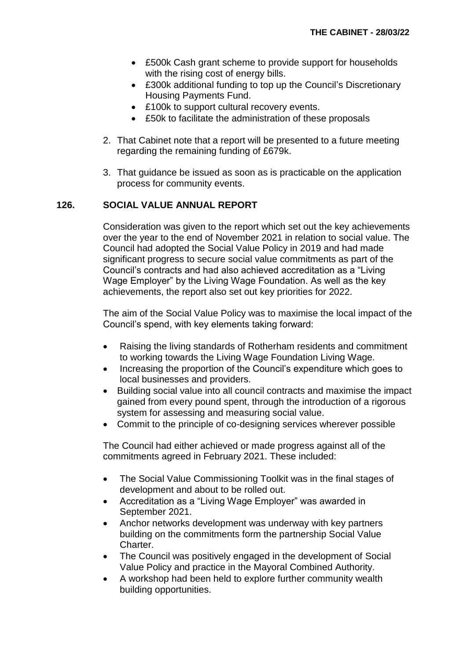- £500k Cash grant scheme to provide support for households with the rising cost of energy bills.
- £300k additional funding to top up the Council's Discretionary Housing Payments Fund.
- £100k to support cultural recovery events.
- £50k to facilitate the administration of these proposals
- 2. That Cabinet note that a report will be presented to a future meeting regarding the remaining funding of £679k.
- 3. That guidance be issued as soon as is practicable on the application process for community events.

# **126. SOCIAL VALUE ANNUAL REPORT**

Consideration was given to the report which set out the key achievements over the year to the end of November 2021 in relation to social value. The Council had adopted the Social Value Policy in 2019 and had made significant progress to secure social value commitments as part of the Council's contracts and had also achieved accreditation as a "Living Wage Employer" by the Living Wage Foundation. As well as the key achievements, the report also set out key priorities for 2022.

The aim of the Social Value Policy was to maximise the local impact of the Council's spend, with key elements taking forward:

- Raising the living standards of Rotherham residents and commitment to working towards the Living Wage Foundation Living Wage.
- Increasing the proportion of the Council's expenditure which goes to local businesses and providers.
- Building social value into all council contracts and maximise the impact gained from every pound spent, through the introduction of a rigorous system for assessing and measuring social value.
- Commit to the principle of co-designing services wherever possible

The Council had either achieved or made progress against all of the commitments agreed in February 2021. These included:

- The Social Value Commissioning Toolkit was in the final stages of development and about to be rolled out.
- Accreditation as a "Living Wage Employer" was awarded in September 2021.
- Anchor networks development was underway with key partners building on the commitments form the partnership Social Value Charter.
- The Council was positively engaged in the development of Social Value Policy and practice in the Mayoral Combined Authority.
- A workshop had been held to explore further community wealth building opportunities.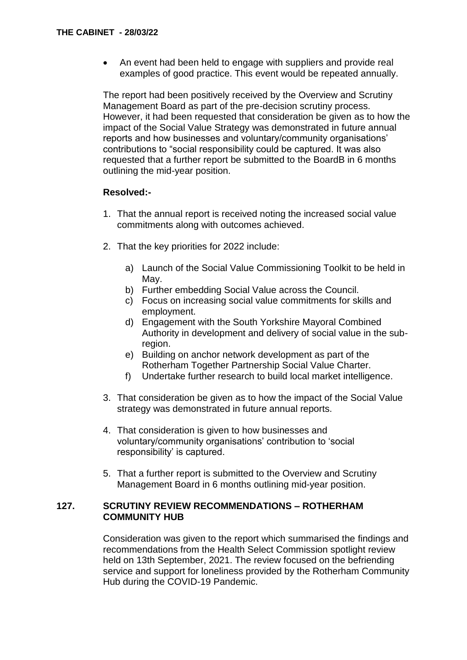An event had been held to engage with suppliers and provide real examples of good practice. This event would be repeated annually.

The report had been positively received by the Overview and Scrutiny Management Board as part of the pre-decision scrutiny process. However, it had been requested that consideration be given as to how the impact of the Social Value Strategy was demonstrated in future annual reports and how businesses and voluntary/community organisations' contributions to "social responsibility could be captured. It was also requested that a further report be submitted to the BoardB in 6 months outlining the mid-year position.

## **Resolved:-**

- 1. That the annual report is received noting the increased social value commitments along with outcomes achieved.
- 2. That the key priorities for 2022 include:
	- a) Launch of the Social Value Commissioning Toolkit to be held in May.
	- b) Further embedding Social Value across the Council.
	- c) Focus on increasing social value commitments for skills and employment.
	- d) Engagement with the South Yorkshire Mayoral Combined Authority in development and delivery of social value in the subregion.
	- e) Building on anchor network development as part of the Rotherham Together Partnership Social Value Charter.
	- f) Undertake further research to build local market intelligence.
- 3. That consideration be given as to how the impact of the Social Value strategy was demonstrated in future annual reports.
- 4. That consideration is given to how businesses and voluntary/community organisations' contribution to 'social responsibility' is captured.
- 5. That a further report is submitted to the Overview and Scrutiny Management Board in 6 months outlining mid-year position.

#### **127. SCRUTINY REVIEW RECOMMENDATIONS – ROTHERHAM COMMUNITY HUB**

Consideration was given to the report which summarised the findings and recommendations from the Health Select Commission spotlight review held on 13th September, 2021. The review focused on the befriending service and support for loneliness provided by the Rotherham Community Hub during the COVID-19 Pandemic.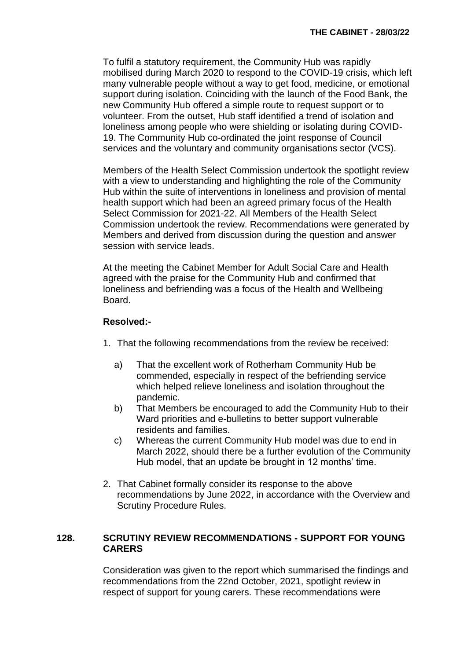To fulfil a statutory requirement, the Community Hub was rapidly mobilised during March 2020 to respond to the COVID-19 crisis, which left many vulnerable people without a way to get food, medicine, or emotional support during isolation. Coinciding with the launch of the Food Bank, the new Community Hub offered a simple route to request support or to volunteer. From the outset, Hub staff identified a trend of isolation and loneliness among people who were shielding or isolating during COVID-19. The Community Hub co-ordinated the joint response of Council services and the voluntary and community organisations sector (VCS).

Members of the Health Select Commission undertook the spotlight review with a view to understanding and highlighting the role of the Community Hub within the suite of interventions in loneliness and provision of mental health support which had been an agreed primary focus of the Health Select Commission for 2021-22. All Members of the Health Select Commission undertook the review. Recommendations were generated by Members and derived from discussion during the question and answer session with service leads.

At the meeting the Cabinet Member for Adult Social Care and Health agreed with the praise for the Community Hub and confirmed that loneliness and befriending was a focus of the Health and Wellbeing Board.

# **Resolved:-**

- 1. That the following recommendations from the review be received:
	- a) That the excellent work of Rotherham Community Hub be commended, especially in respect of the befriending service which helped relieve loneliness and isolation throughout the pandemic.
	- b) That Members be encouraged to add the Community Hub to their Ward priorities and e-bulletins to better support vulnerable residents and families.
	- c) Whereas the current Community Hub model was due to end in March 2022, should there be a further evolution of the Community Hub model, that an update be brought in 12 months' time.
- 2. That Cabinet formally consider its response to the above recommendations by June 2022, in accordance with the Overview and Scrutiny Procedure Rules.

## **128. SCRUTINY REVIEW RECOMMENDATIONS - SUPPORT FOR YOUNG CARERS**

Consideration was given to the report which summarised the findings and recommendations from the 22nd October, 2021, spotlight review in respect of support for young carers. These recommendations were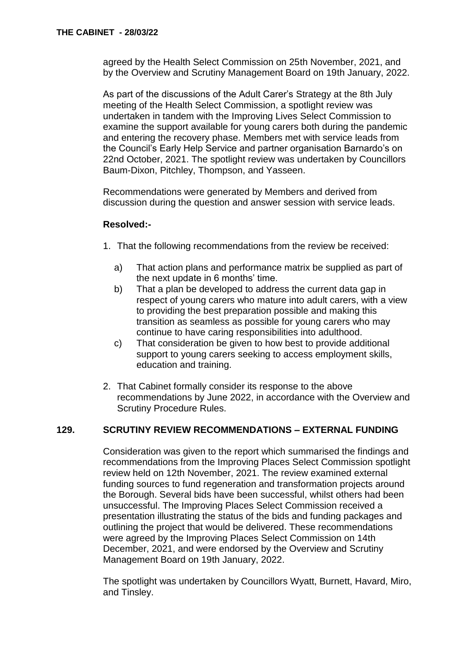agreed by the Health Select Commission on 25th November, 2021, and by the Overview and Scrutiny Management Board on 19th January, 2022.

As part of the discussions of the Adult Carer's Strategy at the 8th July meeting of the Health Select Commission, a spotlight review was undertaken in tandem with the Improving Lives Select Commission to examine the support available for young carers both during the pandemic and entering the recovery phase. Members met with service leads from the Council's Early Help Service and partner organisation Barnardo's on 22nd October, 2021. The spotlight review was undertaken by Councillors Baum-Dixon, Pitchley, Thompson, and Yasseen.

Recommendations were generated by Members and derived from discussion during the question and answer session with service leads.

#### **Resolved:-**

- 1. That the following recommendations from the review be received:
	- a) That action plans and performance matrix be supplied as part of the next update in 6 months' time.
	- b) That a plan be developed to address the current data gap in respect of young carers who mature into adult carers, with a view to providing the best preparation possible and making this transition as seamless as possible for young carers who may continue to have caring responsibilities into adulthood.
	- c) That consideration be given to how best to provide additional support to young carers seeking to access employment skills, education and training.
- 2. That Cabinet formally consider its response to the above recommendations by June 2022, in accordance with the Overview and Scrutiny Procedure Rules.

## **129. SCRUTINY REVIEW RECOMMENDATIONS – EXTERNAL FUNDING**

Consideration was given to the report which summarised the findings and recommendations from the Improving Places Select Commission spotlight review held on 12th November, 2021. The review examined external funding sources to fund regeneration and transformation projects around the Borough. Several bids have been successful, whilst others had been unsuccessful. The Improving Places Select Commission received a presentation illustrating the status of the bids and funding packages and outlining the project that would be delivered. These recommendations were agreed by the Improving Places Select Commission on 14th December, 2021, and were endorsed by the Overview and Scrutiny Management Board on 19th January, 2022.

The spotlight was undertaken by Councillors Wyatt, Burnett, Havard, Miro, and Tinsley.